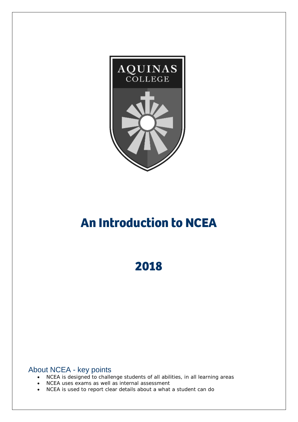

# **An Introduction to NCEA**

**2018**

About NCEA - key points

- NCEA is designed to challenge students of all abilities, in all learning areas
- NCEA uses exams as well as internal assessment
- NCEA is used to report clear details about a what a student can do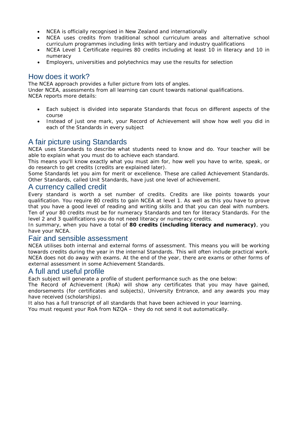- NCEA is officially recognised in New Zealand and internationally
- NCEA uses credits from traditional school curriculum areas and alternative school curriculum programmes including links with tertiary and industry qualifications
- NCEA Level 1 Certificate requires 80 credits including at least 10 in literacy and 10 in numeracy
- Employers, universities and polytechnics may use the results for selection

# How does it work?

The NCEA approach provides a fuller picture from lots of angles. Under NCEA, assessments from all learning can count towards national qualifications. NCEA reports more details:

- Each subject is divided into separate Standards that focus on different aspects of the course
- Instead of just one mark, your Record of Achievement will show how well you did in each of the Standards in every subject

# A fair picture using Standards

NCEA uses Standards to describe what students need to know and do. Your teacher will be able to explain what you must do to achieve each standard.

This means you'll know exactly what you must aim for, how well you have to write, speak, or do research to get credits (credits are explained later).

Some Standards let you aim for merit or excellence. These are called Achievement Standards. Other Standards, called Unit Standards, have just one level of achievement.

## A currency called credit

Every standard is worth a set number of credits. Credits are like points towards your qualification. You require 80 credits to gain NCEA at level 1. As well as this you have to prove that you have a good level of reading and writing skills and that you can deal with numbers. Ten of your 80 credits must be for numeracy Standards and ten for literacy Standards. For the level 2 and 3 qualifications you do not need literacy or numeracy credits.

In summary, when you have a total of **80 credits (including literacy and numeracy)**, you have your NCEA.

#### Fair and sensible assessment

NCEA utilises both internal and external forms of assessment. This means you will be working towards credits during the year in the internal Standards. This will often include practical work. NCEA does not do away with exams. At the end of the year, there are exams or other forms of external assessment in some Achievement Standards.

#### A full and useful profile

Each subject will generate a profile of student performance such as the one below:

The Record of Achievement (RoA) will show any certificates that you may have gained, endorsements (for certificates and subjects), University Entrance, and any awards you may have received (scholarships).

It also has a full transcript of all standards that have been achieved in your learning.

You must request your RoA from NZQA – they do not send it out automatically.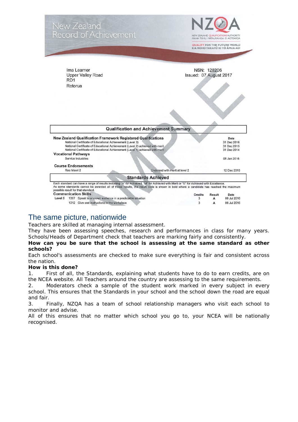

# The same picture, nationwide

Teachers are skilled at managing internal assessment.

They have been assessing speeches, research and performances in class for many years. Schools/Heads of Department check that teachers are marking fairly and consistently.

#### **How can you be sure that the school is assessing at the same standard as other schools?**

Each school's assessments are checked to make sure everything is fair and consistent across the nation.

#### **How is this done?**

1. First of all, the Standards, explaining what students have to do to earn credits, are on the NCEA website. All Teachers around the country are assessing to the same requirements.

2. Moderators check a sample of the student work marked in every subject in every school. This ensures that the Standards in your school and the school down the road are equal and fair.

3. Finally, NZQA has a team of school relationship managers who visit each school to monitor and advise.

All of this ensures that no matter which school you go to, your NCEA will be nationally recognised.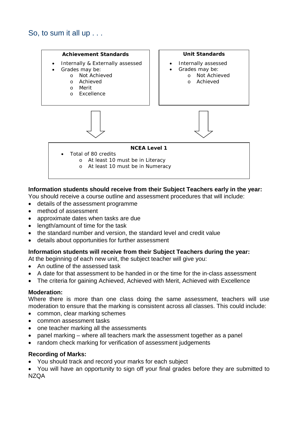

## **Information students should receive from their Subject Teachers early in the year:**

You should receive a course outline and assessment procedures that will include:

- details of the assessment programme
- method of assessment
- approximate dates when tasks are due
- length/amount of time for the task
- the standard number and version, the standard level and credit value
- details about opportunities for further assessment

#### **Information students will receive from their Subject Teachers during the year:**

At the beginning of each new unit, the subject teacher will give you:

- An outline of the assessed task
- A date for that assessment to be handed in or the time for the in-class assessment
- The criteria for gaining Achieved, Achieved with Merit, Achieved with Excellence

#### **Moderation:**

Where there is more than one class doing the same assessment, teachers will use moderation to ensure that the marking is consistent across all classes. This could include:

- common, clear marking schemes
- common assessment tasks
- one teacher marking all the assessments
- panel marking where all teachers mark the assessment together as a panel
- random check marking for verification of assessment judgements

#### **Recording of Marks:**

• You should track and record your marks for each subject

• You will have an opportunity to sign off your final grades before they are submitted to NZQA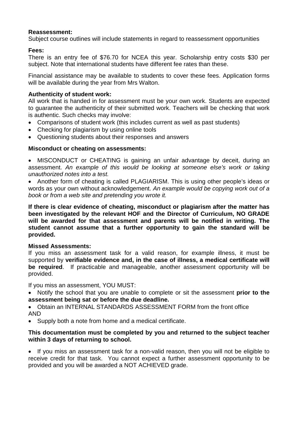#### **Reassessment:**

Subject course outlines will include statements in regard to reassessment opportunities

#### **Fees:**

There is an entry fee of \$76.70 for NCEA this year. Scholarship entry costs \$30 per subject. Note that international students have different fee rates than these.

Financial assistance may be available to students to cover these fees. Application forms will be available during the year from Mrs Walton.

#### **Authenticity of student work:**

All work that is handed in for assessment must be your own work. Students are expected to guarantee the authenticity of their submitted work. Teachers will be checking that work is authentic. Such checks may involve:

- Comparisons of student work (this includes current as well as past students)
- Checking for plagiarism by using online tools
- Questioning students about their responses and answers

#### **Misconduct or cheating on assessments:**

• MISCONDUCT or CHEATING is gaining an unfair advantage by deceit, during an assessment. *An example of this would be looking at someone else's work or taking unauthorized notes into a test.*

• Another form of cheating is called PLAGIARISM. This is using other people's ideas or words as your own without acknowledgement. *An example would be copying work out of a book or from a web site and pretending you wrote it.*

**If there is clear evidence of cheating, misconduct or plagiarism after the matter has been investigated by the relevant HOF and the Director of Curriculum, NO GRADE will be awarded for that assessment and parents will be notified in writing. The student cannot assume that a further opportunity to gain the standard will be provided.**

#### **Missed Assessments:**

If you miss an assessment task for a valid reason, for example illness, it must be supported by **verifiable evidence and, in the case of illness, a medical certificate will be required**. If practicable and manageable, another assessment opportunity will be provided.

If you miss an assessment, YOU MUST:

• Notify the school that you are unable to complete or sit the assessment **prior to the assessment being sat or before the due deadline.**

• Obtain an INTERNAL STANDARDS ASSESSMENT FORM from the front office AND

• Supply both a note from home and a medical certificate.

#### **This documentation must be completed by you and returned to the subject teacher within 3 days of returning to school.**

• If you miss an assessment task for a non-valid reason, then you will not be eligible to receive credit for that task. You cannot expect a further assessment opportunity to be provided and you will be awarded a NOT ACHIEVED grade.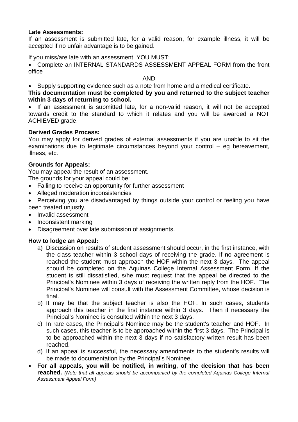#### **Late Assessments:**

If an assessment is submitted late, for a valid reason, for example illness, it will be accepted if no unfair advantage is to be gained.

If you miss/are late with an assessment, YOU MUST:

• Complete an INTERNAL STANDARDS ASSESSMENT APPEAL FORM from the front office

AND

• Supply supporting evidence such as a note from home and a medical certificate.

**This documentation must be completed by you and returned to the subject teacher within 3 days of returning to school.** 

• If an assessment is submitted late, for a non-valid reason, it will not be accepted towards credit to the standard to which it relates and you will be awarded a NOT ACHIEVED grade.

#### **Derived Grades Process:**

You may apply for derived grades of external assessments if you are unable to sit the examinations due to legitimate circumstances beyond your control – eg bereavement, illness, etc.

#### **Grounds for Appeals:**

You may appeal the result of an assessment.

The grounds for your appeal could be:

- Failing to receive an opportunity for further assessment
- Alleged moderation inconsistencies

• Perceiving you are disadvantaged by things outside your control or feeling you have been treated uniustly.

- Invalid assessment
- Inconsistent marking
- Disagreement over late submission of assignments.

#### **How to lodge an Appeal:**

- a) Discussion on results of student assessment should occur, in the first instance, with the class teacher within 3 school days of receiving the grade. If no agreement is reached the student must approach the HOF within the next 3 days. The appeal should be completed on the Aquinas College Internal Assessment Form. If the student is still dissatisfied, s/he must request that the appeal be directed to the Principal's Nominee within 3 days of receiving the written reply from the HOF. The Principal's Nominee will consult with the Assessment Committee, whose decision is final.
- b) It may be that the subject teacher is also the HOF. In such cases, students approach this teacher in the first instance within 3 days. Then if necessary the Principal's Nominee is consulted within the next 3 days.
- c) In rare cases, the Principal's Nominee may be the student's teacher and HOF. In such cases, this teacher is to be approached within the first 3 days. The Principal is to be approached within the next 3 days if no satisfactory written result has been reached.
- d) If an appeal is successful, the necessary amendments to the student's results will be made to documentation by the Principal's Nominee.
- **For all appeals, you will be notified, in writing, of the decision that has been reached.** *(Note that all appeals should be accompanied by the completed Aquinas College Internal Assessment Appeal Form)*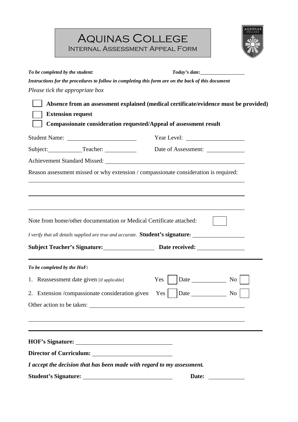Aquinas College Internal Assessment Appeal Form



| To be completed by the student:                                        |                                                                                                                                                                                                                                                                                                                                                                                                                                                                                                                                                                                                                                                                               |
|------------------------------------------------------------------------|-------------------------------------------------------------------------------------------------------------------------------------------------------------------------------------------------------------------------------------------------------------------------------------------------------------------------------------------------------------------------------------------------------------------------------------------------------------------------------------------------------------------------------------------------------------------------------------------------------------------------------------------------------------------------------|
|                                                                        |                                                                                                                                                                                                                                                                                                                                                                                                                                                                                                                                                                                                                                                                               |
| Please tick the appropriate box                                        |                                                                                                                                                                                                                                                                                                                                                                                                                                                                                                                                                                                                                                                                               |
|                                                                        |                                                                                                                                                                                                                                                                                                                                                                                                                                                                                                                                                                                                                                                                               |
| <b>Extension request</b>                                               |                                                                                                                                                                                                                                                                                                                                                                                                                                                                                                                                                                                                                                                                               |
|                                                                        |                                                                                                                                                                                                                                                                                                                                                                                                                                                                                                                                                                                                                                                                               |
|                                                                        |                                                                                                                                                                                                                                                                                                                                                                                                                                                                                                                                                                                                                                                                               |
|                                                                        |                                                                                                                                                                                                                                                                                                                                                                                                                                                                                                                                                                                                                                                                               |
|                                                                        |                                                                                                                                                                                                                                                                                                                                                                                                                                                                                                                                                                                                                                                                               |
|                                                                        |                                                                                                                                                                                                                                                                                                                                                                                                                                                                                                                                                                                                                                                                               |
|                                                                        |                                                                                                                                                                                                                                                                                                                                                                                                                                                                                                                                                                                                                                                                               |
|                                                                        |                                                                                                                                                                                                                                                                                                                                                                                                                                                                                                                                                                                                                                                                               |
|                                                                        | Instructions for the procedures to follow in completing this form are on the back of this document<br>Absence from an assessment explained (medical certificate/evidence must be provided)<br>Compassionate consideration requested/Appeal of assessment result<br>Reason assessment missed or why extension / compassionate consideration is required:<br>,我们也不会有什么。""我们的人,我们也不会有什么?""我们的人,我们也不会有什么?""我们的人,我们也不会有什么?""我们的人,我们也不会有什么?""我们的人<br>I verify that all details supplied are true and accurate. Student's signature:<br>$\overline{N_{0}}$<br>2. Extension / compassionate consideration given $\gamma$ es $\Box$ Date $\Box$ No $\Box$<br>Other action to be taken: |
| Note from home/other documentation or Medical Certificate attached:    |                                                                                                                                                                                                                                                                                                                                                                                                                                                                                                                                                                                                                                                                               |
|                                                                        |                                                                                                                                                                                                                                                                                                                                                                                                                                                                                                                                                                                                                                                                               |
|                                                                        |                                                                                                                                                                                                                                                                                                                                                                                                                                                                                                                                                                                                                                                                               |
| To be completed by the HoF:                                            |                                                                                                                                                                                                                                                                                                                                                                                                                                                                                                                                                                                                                                                                               |
| 1. Reassessment date given [if applicable]                             |                                                                                                                                                                                                                                                                                                                                                                                                                                                                                                                                                                                                                                                                               |
|                                                                        |                                                                                                                                                                                                                                                                                                                                                                                                                                                                                                                                                                                                                                                                               |
|                                                                        |                                                                                                                                                                                                                                                                                                                                                                                                                                                                                                                                                                                                                                                                               |
|                                                                        |                                                                                                                                                                                                                                                                                                                                                                                                                                                                                                                                                                                                                                                                               |
|                                                                        |                                                                                                                                                                                                                                                                                                                                                                                                                                                                                                                                                                                                                                                                               |
|                                                                        |                                                                                                                                                                                                                                                                                                                                                                                                                                                                                                                                                                                                                                                                               |
|                                                                        |                                                                                                                                                                                                                                                                                                                                                                                                                                                                                                                                                                                                                                                                               |
| I accept the decision that has been made with regard to my assessment. |                                                                                                                                                                                                                                                                                                                                                                                                                                                                                                                                                                                                                                                                               |
|                                                                        | Date:                                                                                                                                                                                                                                                                                                                                                                                                                                                                                                                                                                                                                                                                         |